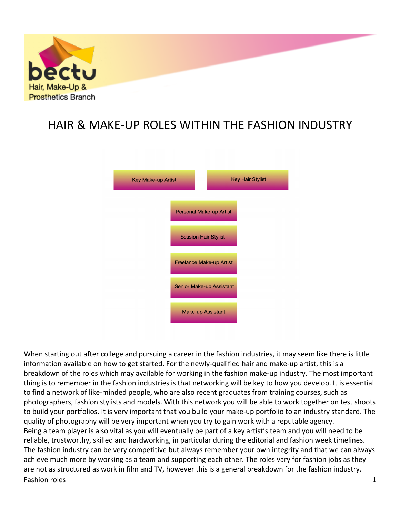

# HAIR & MAKE-UP ROLES WITHIN THE FASHION INDUSTRY



Fashion roles and the set of the set of the set of the set of the set of the set of the set of the set of the set of the set of the set of the set of the set of the set of the set of the set of the set of the set of the se When starting out after college and pursuing a career in the fashion industries, it may seem like there is little information available on how to get started. For the newly-qualified hair and make-up artist, this is a breakdown of the roles which may available for working in the fashion make-up industry. The most important thing is to remember in the fashion industries is that networking will be key to how you develop. It is essential to find a network of like-minded people, who are also recent graduates from training courses, such as photographers, fashion stylists and models. With this network you will be able to work together on test shoots to build your portfolios. It is very important that you build your make-up portfolio to an industry standard. The quality of photography will be very important when you try to gain work with a reputable agency. Being a team player is also vital as you will eventually be part of a key artist's team and you will need to be reliable, trustworthy, skilled and hardworking, in particular during the editorial and fashion week timelines. The fashion industry can be very competitive but always remember your own integrity and that we can always achieve much more by working as a team and supporting each other. The roles vary for fashion jobs as they are not as structured as work in film and TV, however this is a general breakdown for the fashion industry.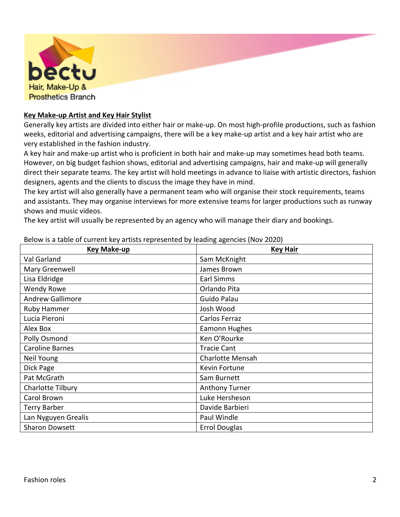

## **Key Make-up Artist and Key Hair Stylist**

Generally key artists are divided into either hair or make-up. On most high-profile productions, such as fashion weeks, editorial and advertising campaigns, there will be a key make-up artist and a key hair artist who are very established in the fashion industry.

A key hair and make-up artist who is proficient in both hair and make-up may sometimes head both teams. However, on big budget fashion shows, editorial and advertising campaigns, hair and make-up will generally direct their separate teams. The key artist will hold meetings in advance to liaise with artistic directors, fashion designers, agents and the clients to discuss the image they have in mind.

The key artist will also generally have a permanent team who will organise their stock requirements, teams and assistants. They may organise interviews for more extensive teams for larger productions such as runway shows and music videos.

The key artist will usually be represented by an agency who will manage their diary and bookings.

| <b>Key Make-up</b>      | <b>Key Hair</b>       |
|-------------------------|-----------------------|
| Val Garland             | Sam McKnight          |
| Mary Greenwell          | James Brown           |
| Lisa Eldridge           | Earl Simms            |
| <b>Wendy Rowe</b>       | Orlando Pita          |
| <b>Andrew Gallimore</b> | Guido Palau           |
| Ruby Hammer             | Josh Wood             |
| Lucia Pieroni           | Carlos Ferraz         |
| Alex Box                | Eamonn Hughes         |
| Polly Osmond            | Ken O'Rourke          |
| <b>Caroline Barnes</b>  | <b>Tracie Cant</b>    |
| Neil Young              | Charlotte Mensah      |
| Dick Page               | Kevin Fortune         |
| Pat McGrath             | Sam Burnett           |
| Charlotte Tilbury       | <b>Anthony Turner</b> |
| Carol Brown             | Luke Hersheson        |
| <b>Terry Barber</b>     | Davide Barbieri       |
| Lan Nyguyen Grealis     | Paul Windle           |
| <b>Sharon Dowsett</b>   | <b>Errol Douglas</b>  |

Below is a table of current key artists represented by leading agencies (Nov 2020)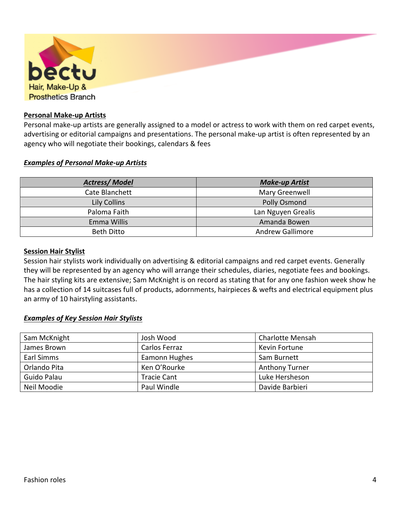| bectu<br>Hair, Make-Up &<br><b>Prosthetics Branch</b> |
|-------------------------------------------------------|
|                                                       |

## **Personal Make-up Artists**

Personal make-up artists are generally assigned to a model or actress to work with them on red carpet events, advertising or editorial campaigns and presentations. The personal make-up artist is often represented by an agency who will negotiate their bookings, calendars & fees

## *Examples of Personal Make-up Artists*

| <b>Actress/Model</b> | <b>Make-up Artist</b>   |
|----------------------|-------------------------|
| Cate Blanchett       | Mary Greenwell          |
| <b>Lily Collins</b>  | Polly Osmond            |
| Paloma Faith         | Lan Nguyen Grealis      |
| Emma Willis          | Amanda Bowen            |
| <b>Beth Ditto</b>    | <b>Andrew Gallimore</b> |

#### **Session Hair Stylist**

Session hair stylists work individually on advertising & editorial campaigns and red carpet events. Generally they will be represented by an agency who will arrange their schedules, diaries, negotiate fees and bookings. The hair styling kits are extensive; Sam McKnight is on record as stating that for any one fashion week show he has a collection of 14 suitcases full of products, adornments, hairpieces & wefts and electrical equipment plus an army of 10 hairstyling assistants.

## *Examples of Key Session Hair Stylists*

| Sam McKnight | Josh Wood          | <b>Charlotte Mensah</b> |
|--------------|--------------------|-------------------------|
| James Brown  | Carlos Ferraz      | Kevin Fortune           |
| Earl Simms   | Eamonn Hughes      | Sam Burnett             |
| Orlando Pita | Ken O'Rourke       | <b>Anthony Turner</b>   |
| Guido Palau  | <b>Tracie Cant</b> | Luke Hersheson          |
| Neil Moodie  | Paul Windle        | Davide Barbieri         |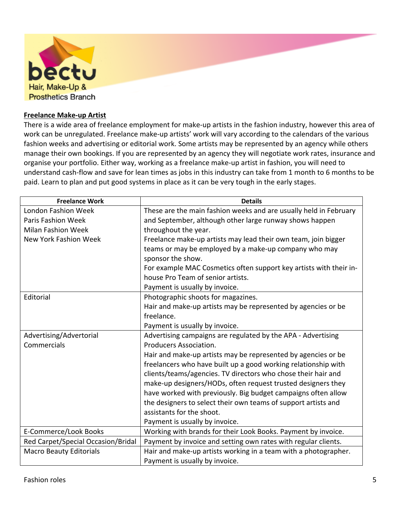

## **Freelance Make-up Artist**

There is a wide area of freelance employment for make-up artists in the fashion industry, however this area of work can be unregulated. Freelance make-up artists' work will vary according to the calendars of the various fashion weeks and advertising or editorial work. Some artists may be represented by an agency while others manage their own bookings. If you are represented by an agency they will negotiate work rates, insurance and organise your portfolio. Either way, working as a freelance make-up artist in fashion, you will need to understand cash-flow and save for lean times as jobs in this industry can take from 1 month to 6 months to be paid. Learn to plan and put good systems in place as it can be very tough in the early stages.

| <b>Freelance Work</b>              | <b>Details</b>                                                     |
|------------------------------------|--------------------------------------------------------------------|
| <b>London Fashion Week</b>         | These are the main fashion weeks and are usually held in February  |
| <b>Paris Fashion Week</b>          | and September, although other large runway shows happen            |
| <b>Milan Fashion Week</b>          | throughout the year.                                               |
| New York Fashion Week              | Freelance make-up artists may lead their own team, join bigger     |
|                                    | teams or may be employed by a make-up company who may              |
|                                    | sponsor the show.                                                  |
|                                    | For example MAC Cosmetics often support key artists with their in- |
|                                    | house Pro Team of senior artists.                                  |
|                                    | Payment is usually by invoice.                                     |
| Editorial                          | Photographic shoots for magazines.                                 |
|                                    | Hair and make-up artists may be represented by agencies or be      |
|                                    | freelance.                                                         |
|                                    | Payment is usually by invoice.                                     |
| Advertising/Advertorial            | Advertising campaigns are regulated by the APA - Advertising       |
| Commercials                        | Producers Association.                                             |
|                                    | Hair and make-up artists may be represented by agencies or be      |
|                                    | freelancers who have built up a good working relationship with     |
|                                    | clients/teams/agencies. TV directors who chose their hair and      |
|                                    | make-up designers/HODs, often request trusted designers they       |
|                                    | have worked with previously. Big budget campaigns often allow      |
|                                    | the designers to select their own teams of support artists and     |
|                                    | assistants for the shoot.                                          |
|                                    | Payment is usually by invoice.                                     |
| E-Commerce/Look Books              | Working with brands for their Look Books. Payment by invoice.      |
| Red Carpet/Special Occasion/Bridal | Payment by invoice and setting own rates with regular clients.     |
| <b>Macro Beauty Editorials</b>     | Hair and make-up artists working in a team with a photographer.    |
|                                    | Payment is usually by invoice.                                     |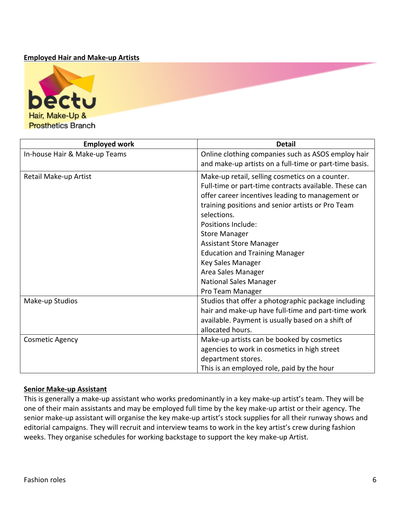## **Employed Hair and Make-up Artists**



| <b>Employed work</b>          | <b>Detail</b>                                          |
|-------------------------------|--------------------------------------------------------|
| In-house Hair & Make-up Teams | Online clothing companies such as ASOS employ hair     |
|                               | and make-up artists on a full-time or part-time basis. |
| Retail Make-up Artist         | Make-up retail, selling cosmetics on a counter.        |
|                               | Full-time or part-time contracts available. These can  |
|                               | offer career incentives leading to management or       |
|                               | training positions and senior artists or Pro Team      |
|                               | selections.                                            |
|                               | Positions Include:                                     |
|                               | <b>Store Manager</b>                                   |
|                               | <b>Assistant Store Manager</b>                         |
|                               | <b>Education and Training Manager</b>                  |
|                               | Key Sales Manager                                      |
|                               | Area Sales Manager                                     |
|                               | <b>National Sales Manager</b>                          |
|                               | Pro Team Manager                                       |
| Make-up Studios               | Studios that offer a photographic package including    |
|                               | hair and make-up have full-time and part-time work     |
|                               | available. Payment is usually based on a shift of      |
|                               | allocated hours.                                       |
| <b>Cosmetic Agency</b>        | Make-up artists can be booked by cosmetics             |
|                               | agencies to work in cosmetics in high street           |
|                               | department stores.                                     |
|                               | This is an employed role, paid by the hour             |

## **Senior Make-up Assistant**

This is generally a make-up assistant who works predominantly in a key make-up artist's team. They will be one of their main assistants and may be employed full time by the key make-up artist or their agency. The senior make-up assistant will organise the key make-up artist's stock supplies for all their runway shows and editorial campaigns. They will recruit and interview teams to work in the key artist's crew during fashion weeks. They organise schedules for working backstage to support the key make-up Artist.